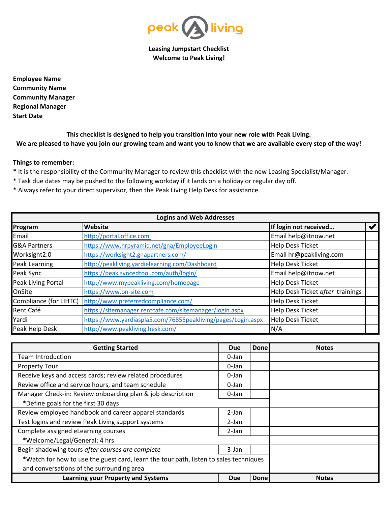

**Leasing Jumpstart Checklist Welcome to Peak Living!**

**Employee Name Community Name Community Manager Regional Manager Start Date**

**This checklist is designed to help you transition into your new role with Peak Living. We are pleased to have you join our growing team and want you to know that we are available every step of the way!**

## **Things to remember:**

- \* It is the responsibility of the Community Manager to review this checklist with the new Leasing Specialist/Manager.
- \* Task due dates may be pushed to the following workday if it lands on a holiday or regular day off.
- \* Always refer to your direct supervisor, then the Peak Living Help Desk for assistance.

| <b>Logins and Web Addresses</b> |                                                              |                                  |                       |  |  |  |
|---------------------------------|--------------------------------------------------------------|----------------------------------|-----------------------|--|--|--|
| Program                         | Website                                                      | If login not received            | $\blacktriangleright$ |  |  |  |
| Email                           | http://portal.office.com                                     | Email help@itnow.net             |                       |  |  |  |
| <b>G&amp;A Partners</b>         | https://www.hrpyramid.net/gna/EmployeeLogin                  | Help Desk Ticket                 |                       |  |  |  |
| Worksight2.0                    | https://worksight2.gnapartners.com/                          | Email hr@peakliving.com          |                       |  |  |  |
| Peak Learning                   | http://peakliving.yardielearning.com/Dashboard               | <b>Help Desk Ticket</b>          |                       |  |  |  |
| Peak Sync                       | https://peak.syncedtool.com/auth/login/                      | Email help@itnow.net             |                       |  |  |  |
| Peak Living Portal              | http://www.mypeakliving.com/homepage                         | <b>Help Desk Ticket</b>          |                       |  |  |  |
| OnSite                          | https://www.on-site.com                                      | Help Desk Ticket after trainings |                       |  |  |  |
| Compliance (for LIHTC)          | http://www.preferredcompliance.com/                          | <b>Help Desk Ticket</b>          |                       |  |  |  |
| Rent Café                       | https://sitemanager.rentcafe.com/sitemanager/login.aspx      | <b>Help Desk Ticket</b>          |                       |  |  |  |
| Yardi                           | https://www.yardiaspla5.com/76855peakliving/pages/Login.aspx | <b>Help Desk Ticket</b>          |                       |  |  |  |
| Peak Help Desk                  | http://www.peakliving.hesk.com/                              | N/A                              |                       |  |  |  |

| <b>Getting Started</b>                                                                |  | <b>Done</b> | <b>Notes</b> |
|---------------------------------------------------------------------------------------|--|-------------|--------------|
| <b>Team Introduction</b>                                                              |  |             |              |
| <b>Property Tour</b>                                                                  |  |             |              |
| Receive keys and access cards; review related procedures                              |  |             |              |
| Review office and service hours, and team schedule                                    |  |             |              |
| Manager Check-in: Review onboarding plan & job description                            |  |             |              |
| *Define goals for the first 30 days                                                   |  |             |              |
| Review employee handbook and career apparel standards                                 |  |             |              |
| Test logins and review Peak Living support systems                                    |  |             |              |
| Complete assigned eLearning courses                                                   |  |             |              |
| *Welcome/Legal/General: 4 hrs                                                         |  |             |              |
| Begin shadowing tours after courses are complete                                      |  |             |              |
| *Watch for how to use the guest card, learn the tour path, listen to sales techniques |  |             |              |
| and conversations of the surrounding area                                             |  |             |              |
| <b>Learning your Property and Systems</b>                                             |  | <b>Done</b> | <b>Notes</b> |